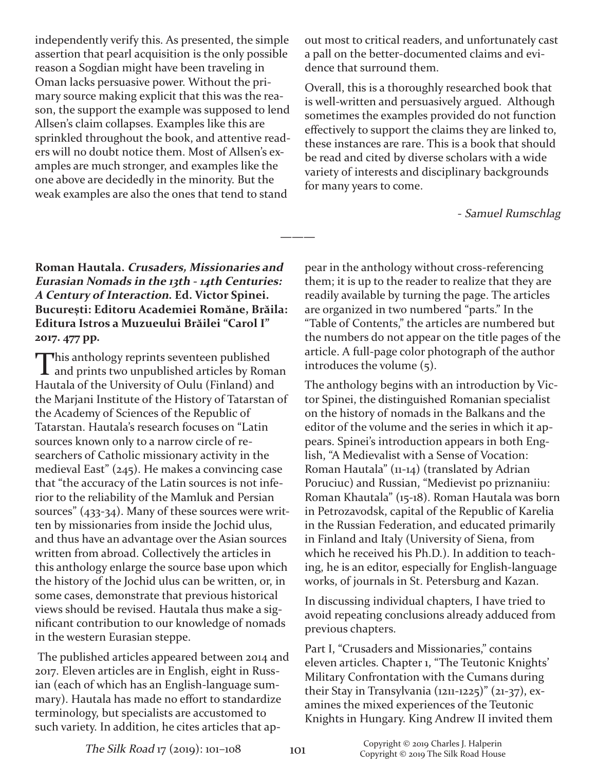independently verify this. As presented, the simple assertion that pearl acquisition is the only possible reason a Sogdian might have been traveling in Oman lacks persuasive power. Without the primary source making explicit that this was the reason, the support the example was supposed to lend Allsen's claim collapses. Examples like this are sprinkled throughout the book, and attentive readers will no doubt notice them. Most of Allsen's examples are much stronger, and examples like the one above are decidedly in the minority. But the weak examples are also the ones that tend to stand

out most to critical readers, and unfortunately cast a pall on the better-documented claims and evidence that surround them.

Overall, this is a thoroughly researched book that is well-written and persuasively argued. Although sometimes the examples provided do not function effectively to support the claims they are linked to, these instances are rare. This is a book that should be read and cited by diverse scholars with a wide variety of interests and disciplinary backgrounds for many years to come.

Samuel Rumschlag

**Roman Hautala. Crusaders, Missionaries and Eurasian Nomads in the 13th ‐ 14th Centuries: <sup>A</sup> Century of Interaction. Ed. Victor Spinei. Bucureşti: Editoru Academiei Romăne, Brăila: Editura Istros a Muzueului Brăilei "Carol I" 2017. 477 pp.**

This anthology reprints seventeen published  $\perp$  and prints two unpublished articles by Roman Hautala of the University of Oulu (Finland) and the Marjani Institute of the History of Tatarstan of the Academy of Sciences of the Republic of Tatarstan. Hautala's research focuses on "Latin sources known only to a narrow circle of researchers of Catholic missionary activity in the medieval East" (245). He makes a convincing case that "the accuracy of the Latin sources is not inferior to the reliability of the Mamluk and Persian sources"  $(433-34)$ . Many of these sources were written by missionaries from inside the Jochid ulus, and thus have an advantage over the Asian sources written from abroad. Collectively the articles in this anthology enlarge the source base upon which the history of the Jochid ulus can be written, or, in some cases, demonstrate that previous historical views should be revised. Hautala thus make a significant contribution to our knowledge of nomads in the western Eurasian steppe.

The published articles appeared between 2014 and 2017. Eleven articles are in English, eight in Russian (each of which has an English-language summary). Hautala has made no effort to standardize terminology, but specialists are accustomed to such variety. In addition, he cites articles that appear in the anthology without cross-referencing them; it is up to the reader to realize that they are readily available by turning the page. The articles are organized in two numbered "parts." In the "Table of Contents," the articles are numbered but the numbers do not appear on the title pages of the article. A full-page color photograph of the author introduces the volume (5).

The anthology begins with an introduction by Victor Spinei, the distinguished Romanian specialist on the history of nomads in the Balkans and the editor of the volume and the series in which it appears. Spinei's introduction appears in both English, "A Medievalist with a Sense of Vocation: Roman Hautala"  $(11-14)$  (translated by Adrian Poruciuc) and Russian, "Medievist po priznaniiu: Roman Khautala" (1518). Roman Hautala was born in Petrozavodsk, capital of the Republic of Karelia in the Russian Federation, and educated primarily in Finland and Italy (University of Siena, from which he received his Ph.D.). In addition to teaching, he is an editor, especially for English-language works, of journals in St. Petersburg and Kazan.

In discussing individual chapters, I have tried to avoid repeating conclusions already adduced from previous chapters.

Part I, "Crusaders and Missionaries," contains eleven articles. Chapter 1, "The Teutonic Knights' Military Confrontation with the Cumans during their Stay in Transylvania  $(1211-1225)'' (21-37)$ , examines the mixed experiences of the Teutonic Knights in Hungary. King Andrew II invited them

**———**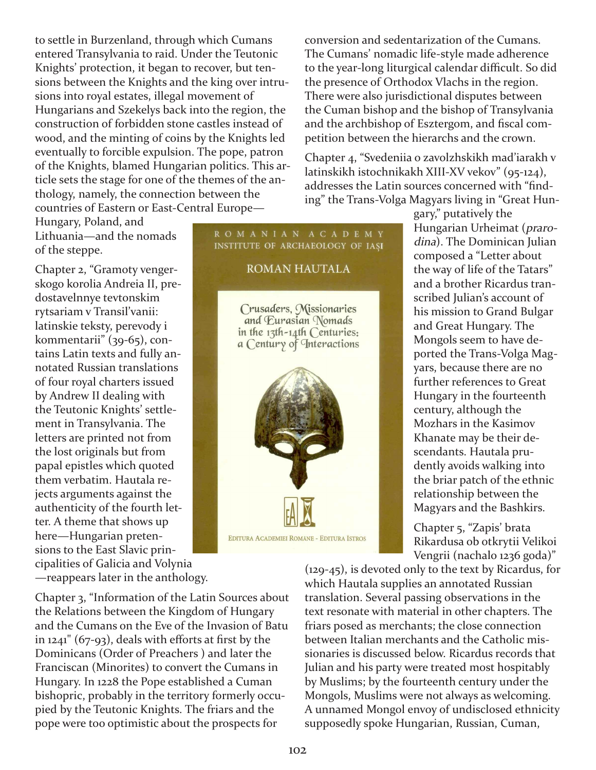to settle in Burzenland, through which Cumans entered Transylvania to raid. Under the Teutonic Knights' protection, it began to recover, but tensions between the Knights and the king over intrusions into royal estates, illegal movement of Hungarians and Szekelys back into the region, the construction of forbidden stone castles instead of wood, and the minting of coins by the Knights led eventually to forcible expulsion. The pope, patron of the Knights, blamed Hungarian politics. This article sets the stage for one of the themes of the anthology, namely, the connection between the countries of Eastern or East-Central Europe-

Hungary, Poland, and Lithuania—and the nomads of the steppe.

Chapter 2, "Gramoty vengerskogo korolia Andreia II, predostavelnnye tevtonskim rytsariam v Transil'vanii: latinskie teksty, perevody i kommentarii" (39-65), contains Latin texts and fully annotated Russian translations of four royal charters issued by Andrew II dealing with the Teutonic Knights' settlement in Transylvania. The letters are printed not from the lost originals but from papal epistles which quoted them verbatim. Hautala rejects arguments against the authenticity of the fourth letter. A theme that shows up here—Hungarian pretensions to the East Slavic principalities of Galicia and Volynia —reappears later in the anthology.

Chapter 3, "Information of the Latin Sources about the Relations between the Kingdom of Hungary and the Cumans on the Eve of the Invasion of Batu in  $1241$ " (67-93), deals with efforts at first by the Dominicans (Order of Preachers ) and later the Franciscan (Minorites) to convert the Cumans in Hungary. In 1228 the Pope established a Cuman bishopric, probably in the territory formerly occupied by the Teutonic Knights. The friars and the pope were too optimistic about the prospects for

conversion and sedentarization of the Cumans. The Cumans' nomadic life-style made adherence to the year-long liturgical calendar difficult. So did the presence of Orthodox Vlachs in the region. There were also jurisdictional disputes between the Cuman bishop and the bishop of Transylvania and the archbishop of Esztergom, and fiscal competition between the hierarchs and the crown.

Chapter 4, "Svedeniia o zavolzhskikh mad'iarakh v latinskikh istochnikakh XIII-XV vekov" (95-124), addresses the Latin sources concerned with "finding" the Trans-Volga Magyars living in "Great Hun-

> gary," putatively the Hungarian Urheimat (prarodina). The Dominican Julian composed a "Letter about the way of life of the Tatars" and a brother Ricardus transcribed Julian's account of his mission to Grand Bulgar and Great Hungary. The Mongols seem to have deported the Trans-Volga Magyars, because there are no further references to Great Hungary in the fourteenth century, although the Mozhars in the Kasimov Khanate may be their descendants. Hautala prudently avoids walking into the briar patch of the ethnic relationship between the Magyars and the Bashkirs.

> Chapter 5, "Zapis' brata Rikardusa ob otkrytii Velikoi Vengrii (nachalo 1236 goda)"

 $(129-45)$ , is devoted only to the text by Ricardus, for which Hautala supplies an annotated Russian translation. Several passing observations in the text resonate with material in other chapters. The friars posed as merchants; the close connection between Italian merchants and the Catholic missionaries is discussed below. Ricardus records that Julian and his party were treated most hospitably by Muslims; by the fourteenth century under the Mongols, Muslims were not always as welcoming. A unnamed Mongol envoy of undisclosed ethnicity supposedly spoke Hungarian, Russian, Cuman,

ROMANIAN ACADEMY INSTITUTE OF ARCHAEOLOGY OF IASI **ROMAN HAUTALA** 

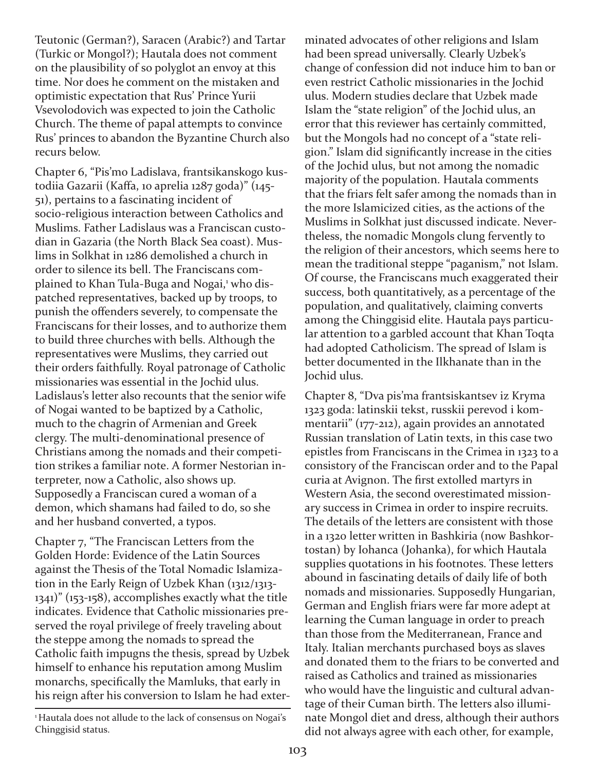Teutonic (German?), Saracen (Arabic?) and Tartar (Turkic or Mongol?); Hautala does not comment on the plausibility of so polyglot an envoy at this time. Nor does he comment on the mistaken and optimistic expectation that Rus' Prince Yurii Vsevolodovich was expected to join the Catholic Church. The theme of papal attempts to convince Rus' princes to abandon the Byzantine Church also recurs below.

Chapter 6, "Pis'mo Ladislava, frantsikanskogo kustodiia Gazarii (Kaffa, 10 aprelia 1287 goda)" (145 51), pertains to a fascinating incident of socio-religious interaction between Catholics and Muslims. Father Ladislaus was a Franciscan custodian in Gazaria (the North Black Sea coast). Muslims in Solkhat in 1286 demolished a church in order to silence its bell. The Franciscans complained to Khan Tula-Buga and Nogai,<sup>1</sup> who dispatched representatives, backed up by troops, to punish the offenders severely, to compensate the Franciscans for their losses, and to authorize them to build three churches with bells. Although the representatives were Muslims, they carried out their orders faithfully. Royal patronage of Catholic missionaries was essential in the Jochid ulus. Ladislaus's letter also recounts that the senior wife of Nogai wanted to be baptized by a Catholic, much to the chagrin of Armenian and Greek clergy. The multi-denominational presence of Christians among the nomads and their competition strikes a familiar note. A former Nestorian interpreter, now a Catholic, also shows up. Supposedly a Franciscan cured a woman of a demon, which shamans had failed to do, so she and her husband converted, a typos.

Chapter 7, "The Franciscan Letters from the Golden Horde: Evidence of the Latin Sources against the Thesis of the Total Nomadic Islamization in the Early Reign of Uzbek Khan (1312/1313  $1341$ )" (153-158), accomplishes exactly what the title indicates. Evidence that Catholic missionaries preserved the royal privilege of freely traveling about the steppe among the nomads to spread the Catholic faith impugns the thesis, spread by Uzbek himself to enhance his reputation among Muslim monarchs, specifically the Mamluks, that early in his reign after his conversion to Islam he had exter-

<sup>1</sup>Hautala does not allude to the lack of consensus on Nogai's Chinggisid status.

minated advocates of other religions and Islam had been spread universally. Clearly Uzbek's change of confession did not induce him to ban or even restrict Catholic missionaries in the Jochid ulus. Modern studies declare that Uzbek made Islam the "state religion" of the Jochid ulus, an error that this reviewer has certainly committed, but the Mongols had no concept of a "state religion." Islam did significantly increase in the cities of the Jochid ulus, but not among the nomadic majority of the population. Hautala comments that the friars felt safer among the nomads than in the more Islamicized cities, as the actions of the Muslims in Solkhat just discussed indicate. Nevertheless, the nomadic Mongols clung fervently to the religion of their ancestors, which seems here to mean the traditional steppe "paganism," not Islam. Of course, the Franciscans much exaggerated their success, both quantitatively, as a percentage of the population, and qualitatively, claiming converts among the Chinggisid elite. Hautala pays particular attention to a garbled account that Khan Toqta had adopted Catholicism. The spread of Islam is better documented in the Ilkhanate than in the Jochid ulus.

Chapter 8, "Dva pis'ma frantsiskantsev iz Kryma 1323 goda: latinskii tekst, russkii perevod i kommentarii" (177-212), again provides an annotated Russian translation of Latin texts, in this case two epistles from Franciscans in the Crimea in 1323 to a consistory of the Franciscan order and to the Papal curia at Avignon. The first extolled martyrs in Western Asia, the second overestimated missionary success in Crimea in order to inspire recruits. The details of the letters are consistent with those in a 1320 letter written in Bashkiria (now Bashkortostan) by Iohanca (Johanka), for which Hautala supplies quotations in his footnotes. These letters abound in fascinating details of daily life of both nomads and missionaries. Supposedly Hungarian, German and English friars were far more adept at learning the Cuman language in order to preach than those from the Mediterranean, France and Italy. Italian merchants purchased boys as slaves and donated them to the friars to be converted and raised as Catholics and trained as missionaries who would have the linguistic and cultural advantage of their Cuman birth. The letters also illuminate Mongol diet and dress, although their authors did not always agree with each other, for example,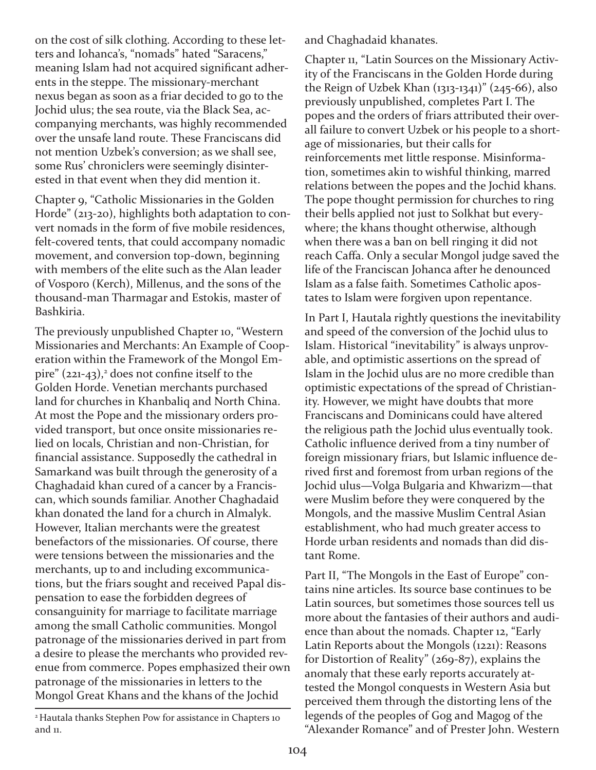on the cost of silk clothing. According to these letters and Iohanca's, "nomads" hated "Saracens," meaning Islam had not acquired significant adherents in the steppe. The missionary-merchant nexus began as soon as a friar decided to go to the Jochid ulus; the sea route, via the Black Sea, accompanying merchants, was highly recommended over the unsafe land route. These Franciscans did not mention Uzbek's conversion; as we shall see, some Rus' chroniclers were seemingly disinterested in that event when they did mention it.

Chapter 9, "Catholic Missionaries in the Golden Horde" (213-20), highlights both adaptation to convert nomads in the form of five mobile residences, felt-covered tents, that could accompany nomadic movement, and conversion top-down, beginning with members of the elite such as the Alan leader of Vosporo (Kerch), Millenus, and the sons of the thousand-man Tharmagar and Estokis, master of Bashkiria.

The previously unpublished Chapter 10, "Western Missionaries and Merchants: An Example of Cooperation within the Framework of the Mongol Empire" (221-43),<sup>2</sup> does not confine itself to the Golden Horde. Venetian merchants purchased land for churches in Khanbaliq and North China. At most the Pope and the missionary orders provided transport, but once onsite missionaries relied on locals, Christian and non-Christian, for financial assistance. Supposedly the cathedral in Samarkand was built through the generosity of a Chaghadaid khan cured of a cancer by a Franciscan, which sounds familiar. Another Chaghadaid khan donated the land for a church in Almalyk. However, Italian merchants were the greatest benefactors of the missionaries. Of course, there were tensions between the missionaries and the merchants, up to and including excommunications, but the friars sought and received Papal dispensation to ease the forbidden degrees of consanguinity for marriage to facilitate marriage among the small Catholic communities. Mongol patronage of the missionaries derived in part from a desire to please the merchants who provided revenue from commerce. Popes emphasized their own patronage of the missionaries in letters to the Mongol Great Khans and the khans of the Jochid

<sup>2</sup> Hautala thanks Stephen Pow for assistance in Chapters 10 and 11.

and Chaghadaid khanates.

Chapter 11, "Latin Sources on the Missionary Activity of the Franciscans in the Golden Horde during the Reign of Uzbek Khan (1313-1341)" (245-66), also previously unpublished, completes Part I. The popes and the orders of friars attributed their overall failure to convert Uzbek or his people to a shortage of missionaries, but their calls for reinforcements met little response. Misinformation, sometimes akin to wishful thinking, marred relations between the popes and the Jochid khans. The pope thought permission for churches to ring their bells applied not just to Solkhat but everywhere; the khans thought otherwise, although when there was a ban on bell ringing it did not reach Caffa. Only a secular Mongol judge saved the life of the Franciscan Johanca after he denounced Islam as a false faith. Sometimes Catholic apostates to Islam were forgiven upon repentance.

In Part I, Hautala rightly questions the inevitability and speed of the conversion of the Jochid ulus to Islam. Historical "inevitability" is always unprovable, and optimistic assertions on the spread of Islam in the Jochid ulus are no more credible than optimistic expectations of the spread of Christianity. However, we might have doubts that more Franciscans and Dominicans could have altered the religious path the Jochid ulus eventually took. Catholic influence derived from a tiny number of foreign missionary friars, but Islamic influence derived first and foremost from urban regions of the Jochid ulus—Volga Bulgaria and Khwarizm—that were Muslim before they were conquered by the Mongols, and the massive Muslim Central Asian establishment, who had much greater access to Horde urban residents and nomads than did distant Rome.

Part II, "The Mongols in the East of Europe" contains nine articles. Its source base continues to be Latin sources, but sometimes those sources tell us more about the fantasies of their authors and audience than about the nomads. Chapter 12, "Early Latin Reports about the Mongols (1221): Reasons for Distortion of Reality" (269-87), explains the anomaly that these early reports accurately attested the Mongol conquests in Western Asia but perceived them through the distorting lens of the legends of the peoples of Gog and Magog of the "Alexander Romance" and of Prester John. Western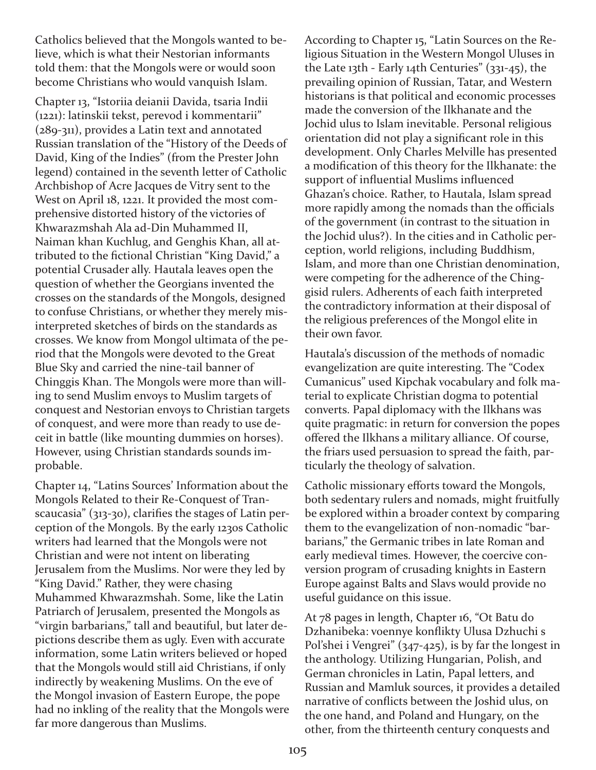Catholics believed that the Mongols wanted to believe, which is what their Nestorian informants told them: that the Mongols were or would soon become Christians who would vanquish Islam.

Chapter 13, "Istoriia deianii Davida, tsaria Indii (1221): latinskii tekst, perevod i kommentarii"  $(289-311)$ , provides a Latin text and annotated Russian translation of the "History of the Deeds of David, King of the Indies" (from the Prester John legend) contained in the seventh letter of Catholic Archbishop of Acre Jacques de Vitry sent to the West on April 18, 1221. It provided the most comprehensive distorted history of the victories of Khwarazmshah Ala ad-Din Muhammed II, Naiman khan Kuchlug, and Genghis Khan, all attributed to the fictional Christian "King David," a potential Crusader ally. Hautala leaves open the question of whether the Georgians invented the crosses on the standards of the Mongols, designed to confuse Christians, or whether they merely misinterpreted sketches of birds on the standards as crosses. We know from Mongol ultimata of the period that the Mongols were devoted to the Great Blue Sky and carried the nine-tail banner of Chinggis Khan. The Mongols were more than willing to send Muslim envoys to Muslim targets of conquest and Nestorian envoys to Christian targets of conquest, and were more than ready to use deceit in battle (like mounting dummies on horses). However, using Christian standards sounds improbable.

Chapter 14, "Latins Sources' Information about the Mongols Related to their Re-Conquest of Transcaucasia"  $(313-30)$ , clarifies the stages of Latin perception of the Mongols. By the early 1230s Catholic writers had learned that the Mongols were not Christian and were not intent on liberating Jerusalem from the Muslims. Nor were they led by "King David." Rather, they were chasing Muhammed Khwarazmshah. Some, like the Latin Patriarch of Jerusalem, presented the Mongols as "virgin barbarians," tall and beautiful, but later depictions describe them as ugly. Even with accurate information, some Latin writers believed or hoped that the Mongols would still aid Christians, if only indirectly by weakening Muslims. On the eve of the Mongol invasion of Eastern Europe, the pope had no inkling of the reality that the Mongols were far more dangerous than Muslims.

According to Chapter 15, "Latin Sources on the Religious Situation in the Western Mongol Uluses in the Late 13th - Early 14th Centuries"  $(331-45)$ , the prevailing opinion of Russian, Tatar, and Western historians is that political and economic processes made the conversion of the Ilkhanate and the Jochid ulus to Islam inevitable. Personal religious orientation did not play a significant role in this development. Only Charles Melville has presented a modification of this theory for the Ilkhanate: the support of influential Muslims influenced Ghazan's choice. Rather, to Hautala, Islam spread more rapidly among the nomads than the officials of the government (in contrast to the situation in the Jochid ulus?). In the cities and in Catholic perception, world religions, including Buddhism, Islam, and more than one Christian denomination, were competing for the adherence of the Chinggisid rulers. Adherents of each faith interpreted the contradictory information at their disposal of the religious preferences of the Mongol elite in their own favor.

Hautala's discussion of the methods of nomadic evangelization are quite interesting. The "Codex Cumanicus" used Kipchak vocabulary and folk material to explicate Christian dogma to potential converts. Papal diplomacy with the Ilkhans was quite pragmatic: in return for conversion the popes offered the Ilkhans a military alliance. Of course, the friars used persuasion to spread the faith, particularly the theology of salvation.

Catholic missionary efforts toward the Mongols, both sedentary rulers and nomads, might fruitfully be explored within a broader context by comparing them to the evangelization of non-nomadic "barbarians," the Germanic tribes in late Roman and early medieval times. However, the coercive conversion program of crusading knights in Eastern Europe against Balts and Slavs would provide no useful guidance on this issue.

At 78 pages in length, Chapter 16, "Ot Batu do Dzhanibeka: voennye konflikty Ulusa Dzhuchi s Pol'shei i Vengrei"  $(347-425)$ , is by far the longest in the anthology. Utilizing Hungarian, Polish, and German chronicles in Latin, Papal letters, and Russian and Mamluk sources, it provides a detailed narrative of conflicts between the Joshid ulus, on the one hand, and Poland and Hungary, on the other, from the thirteenth century conquests and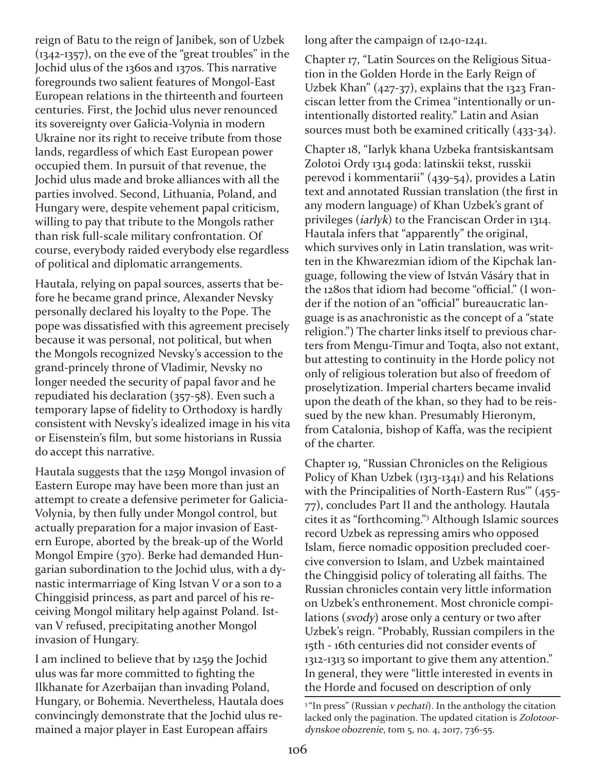reign of Batu to the reign of Janibek, son of Uzbek  $(1342-1357)$ , on the eve of the "great troubles" in the Jochid ulus of the 1360s and 1370s. This narrative foregrounds two salient features of Mongol-East European relations in the thirteenth and fourteen centuries. First, the Jochid ulus never renounced its sovereignty over Galicia-Volynia in modern Ukraine nor its right to receive tribute from those lands, regardless of which East European power occupied them. In pursuit of that revenue, the Jochid ulus made and broke alliances with all the parties involved. Second, Lithuania, Poland, and Hungary were, despite vehement papal criticism, willing to pay that tribute to the Mongols rather than risk full-scale military confrontation. Of course, everybody raided everybody else regardless of political and diplomatic arrangements.

Hautala, relying on papal sources, asserts that before he became grand prince, Alexander Nevsky personally declared his loyalty to the Pope. The pope was dissatisfied with this agreement precisely because it was personal, not political, but when the Mongols recognized Nevsky's accession to the grand-princely throne of Vladimir, Nevsky no longer needed the security of papal favor and he repudiated his declaration  $(357-58)$ . Even such a temporary lapse of fidelity to Orthodoxy is hardly consistent with Nevsky's idealized image in his vita or Eisenstein's film, but some historians in Russia do accept this narrative.

Hautala suggests that the 1259 Mongol invasion of Eastern Europe may have been more than just an attempt to create a defensive perimeter for Galicia-Volynia, by then fully under Mongol control, but actually preparation for a major invasion of Eastern Europe, aborted by the break-up of the World Mongol Empire (370). Berke had demanded Hungarian subordination to the Jochid ulus, with a dynastic intermarriage of King Istvan V or a son to a Chinggisid princess, as part and parcel of his receiving Mongol military help against Poland. Istvan V refused, precipitating another Mongol invasion of Hungary.

I am inclined to believe that by 1259 the Jochid ulus was far more committed to fighting the Ilkhanate for Azerbaijan than invading Poland, Hungary, or Bohemia. Nevertheless, Hautala does convincingly demonstrate that the Jochid ulus remained a major player in East European affairs

long after the campaign of  $1240-1241$ .

Chapter 17, "Latin Sources on the Religious Situation in the Golden Horde in the Early Reign of Uzbek Khan"  $(427-37)$ , explains that the 1323 Franciscan letter from the Crimea "intentionally or unintentionally distorted reality." Latin and Asian sources must both be examined critically  $(433-34)$ .

Chapter 18, "Iarlyk khana Uzbeka frantsiskantsam Zolotoi Ordy 1314 goda: latinskii tekst, russkii perevod i kommentarii" (439-54), provides a Latin text and annotated Russian translation (the first in any modern language) of Khan Uzbek's grant of privileges (iarlyk) to the Franciscan Order in 1314. Hautala infers that "apparently" the original, which survives only in Latin translation, was written in the Khwarezmian idiom of the Kipchak language, following the view of István Vásáry that in the 1280s that idiom had become "official." (I wonder if the notion of an "official" bureaucratic language is as anachronistic as the concept of a "state religion.") The charter links itself to previous charters from Mengu-Timur and Toqta, also not extant, but attesting to continuity in the Horde policy not only of religious toleration but also of freedom of proselytization. Imperial charters became invalid upon the death of the khan, so they had to be reissued by the new khan. Presumably Hieronym, from Catalonia, bishop of Kaffa, was the recipient of the charter.

Chapter 19, "Russian Chronicles on the Religious Policy of Khan Uzbek (1313-1341) and his Relations with the Principalities of North-Eastern Rus" (455-77), concludes Part II and the anthology. Hautala cites it as "forthcoming."3 Although Islamic sources record Uzbek as repressing amirs who opposed Islam, fierce nomadic opposition precluded coercive conversion to Islam, and Uzbek maintained the Chinggisid policy of tolerating all faiths. The Russian chronicles contain very little information on Uzbek's enthronement. Most chronicle compilations (svody) arose only a century or two after Uzbek's reign. "Probably, Russian compilers in the 15th 16th centuries did not consider events of 13121313 so important to give them any attention." In general, they were "little interested in events in the Horde and focused on description of only

<sup>&</sup>lt;sup>3</sup> "In press" (Russian *v pechati*). In the anthology the citation lacked only the pagination. The updated citation is Zolotoordynskoe obozrenie, tom 5, no. 4, 2017, 736-55.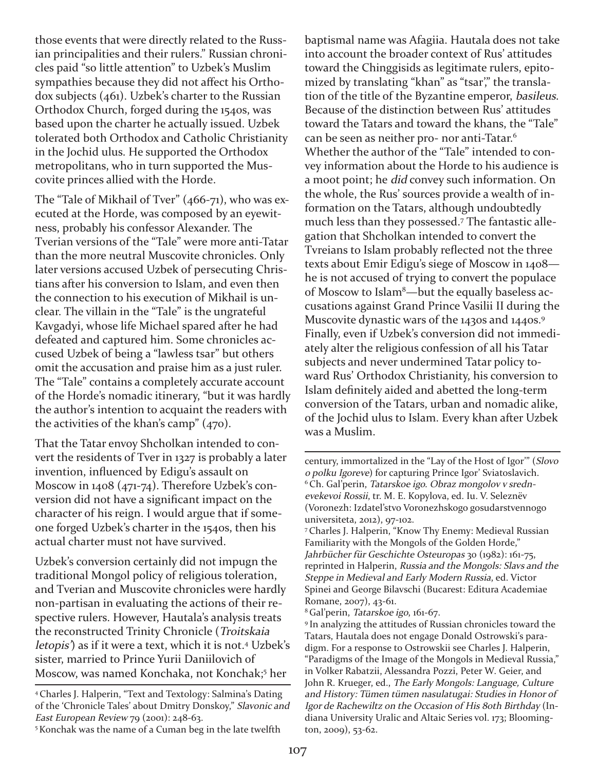those events that were directly related to the Russian principalities and their rulers." Russian chronicles paid "so little attention" to Uzbek's Muslim sympathies because they did not affect his Orthodox subjects (461). Uzbek's charter to the Russian Orthodox Church, forged during the 1540s, was based upon the charter he actually issued. Uzbek tolerated both Orthodox and Catholic Christianity in the Jochid ulus. He supported the Orthodox metropolitans, who in turn supported the Muscovite princes allied with the Horde.

The "Tale of Mikhail of Tver"  $(466-71)$ , who was executed at the Horde, was composed by an eyewitness, probably his confessor Alexander. The Tverian versions of the "Tale" were more anti-Tatar than the more neutral Muscovite chronicles. Only later versions accused Uzbek of persecuting Christians after his conversion to Islam, and even then the connection to his execution of Mikhail is unclear. The villain in the "Tale" is the ungrateful Kavgadyi, whose life Michael spared after he had defeated and captured him. Some chronicles accused Uzbek of being a "lawless tsar" but others omit the accusation and praise him as a just ruler. The "Tale" contains a completely accurate account of the Horde's nomadic itinerary, "but it was hardly the author's intention to acquaint the readers with the activities of the khan's camp" (470).

That the Tatar envoy Shcholkan intended to convert the residents of Tver in 1327 is probably a later invention, influenced by Edigu's assault on Moscow in 1408 (471-74). Therefore Uzbek's conversion did not have a significant impact on the character of his reign. I would argue that if someone forged Uzbek's charter in the 1540s, then his actual charter must not have survived.

Uzbek's conversion certainly did not impugn the traditional Mongol policy of religious toleration, and Tverian and Muscovite chronicles were hardly non-partisan in evaluating the actions of their respective rulers. However, Hautala's analysis treats the reconstructed Trinity Chronicle (Troitskaia letopis') as if it were a text, which it is not. <sup>4</sup> Uzbek's sister, married to Prince Yurii Daniilovich of Moscow, was named Konchaka, not Konchak; <sup>5</sup> her

5Konchak was the name of a Cuman beg in the late twelfth

baptismal name was Afagiia. Hautala does not take into account the broader context of Rus' attitudes toward the Chinggisids as legitimate rulers, epitomized by translating "khan" as "tsar'," the translation of the title of the Byzantine emperor, basileus. Because of the distinction between Rus' attitudes toward the Tatars and toward the khans, the "Tale" can be seen as neither pro- nor anti-Tatar.<sup>6</sup> Whether the author of the "Tale" intended to convey information about the Horde to his audience is a moot point; he did convey such information. On the whole, the Rus' sources provide a wealth of information on the Tatars, although undoubtedly much less than they possessed. <sup>7</sup> The fantastic allegation that Shcholkan intended to convert the Tvreians to Islam probably reflected not the three texts about Emir Edigu's siege of Moscow in 1408 he is not accused of trying to convert the populace of Moscow to Islam<sup>8</sup>—but the equally baseless accusations against Grand Prince Vasilii II during the Muscovite dynastic wars of the 1430s and 1440s. 9 Finally, even if Uzbek's conversion did not immediately alter the religious confession of all his Tatar subjects and never undermined Tatar policy toward Rus' Orthodox Christianity, his conversion to Islam definitely aided and abetted the long-term conversion of the Tatars, urban and nomadic alike, of the Jochid ulus to Islam. Every khan after Uzbek was a Muslim.

century, immortalized in the "Lay of the Host of Igor'" (Slovo <sup>o</sup> polku Igoreve) for capturing Prince Igor' Sviatoslavich. <sup>6</sup>Ch. Gal'perin, Tatarskoe igo. Obraz mongolov v srednevekevoi Rossii, tr. M. E. Kopylova, ed. Iu. V. Seleznëv (Voronezh: Izdatel'stvo Voronezhskogo gosudarstvennogo universiteta, 2012), 97-102.

7Charles J. Halperin, "Know Thy Enemy: Medieval Russian Familiarity with the Mongols of the Golden Horde," Jahrbücher für Geschichte Osteuropas 30 (1982): 161-75, reprinted in Halperin, Russia and the Mongols: Slavs and the Steppe in Medieval and Early Modern Russia, ed. Victor Spinei and George Bilavschi (Bucarest: Editura Academiae Romane, 2007), 43-61.

<sup>8</sup> Gal'perin, Tatarskoe igo, 161-67.

<sup>9</sup> In analyzing the attitudes of Russian chronicles toward the Tatars, Hautala does not engage Donald Ostrowski's paradigm. For a response to Ostrowskii see Charles J. Halperin, "Paradigms of the Image of the Mongols in Medieval Russia," in Volker Rabatzii, Alessandra Pozzi, Peter W. Geier, and John R. Krueger, ed., The Early Mongols: Language, Culture and History: Tümen tümen nasulatugai: Studies in Honor of Igor de Rachewiltz on the Occasion of His 80th Birthday (Indiana University Uralic and Altaic Series vol. 173; Blooming $ton, 2009)$ , 53-62.

<sup>4</sup>Charles J. Halperin, "Text and Textology: Salmina's Dating of the 'Chronicle Tales' about Dmitry Donskoy," Slavonic and East European Review 79 (2001): 248-63.